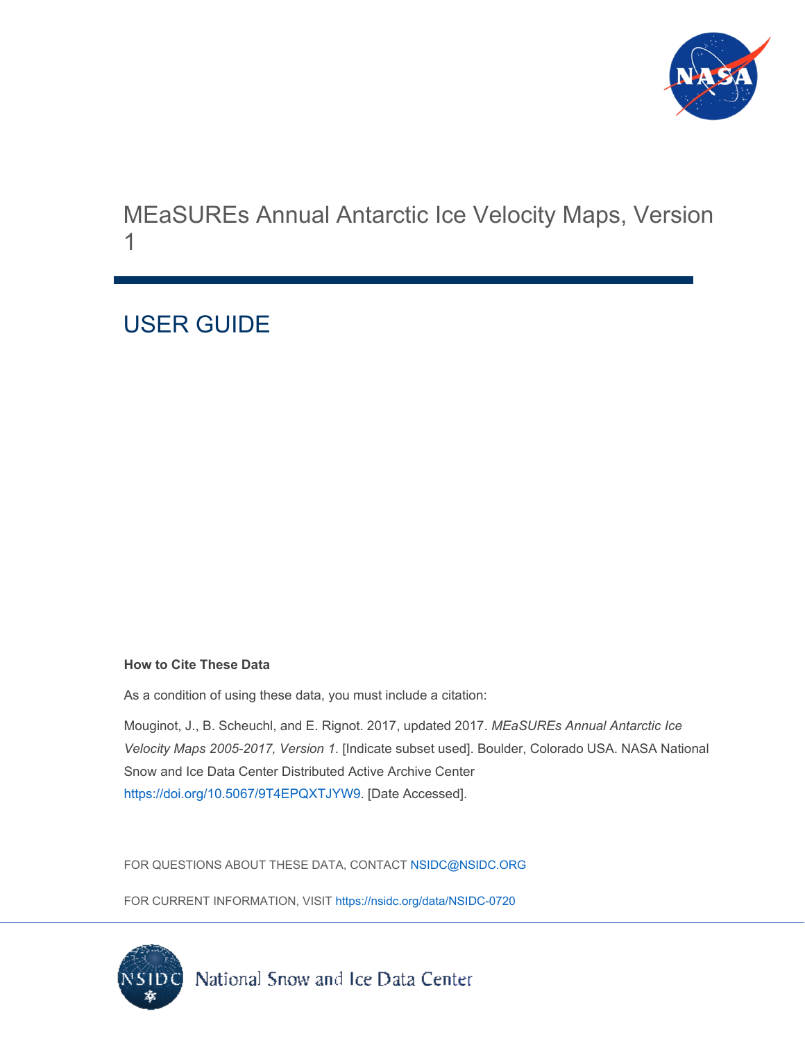

MEaSUREs Annual Antarctic Ice Velocity Maps, Version 1

# USER GUIDE

#### **How to Cite These Data**

As a condition of using these data, you must include a citation:

Mouginot, J., B. Scheuchl, and E. Rignot. 2017, updated 2017. *MEaSUREs Annual Antarctic Ice Velocity Maps 2005-2017, Version 1*. [Indicate subset used]. Boulder, Colorado USA. NASA National Snow and Ice Data Center Distributed Active Archive Center [https://doi.org/10.5067/9T4EPQXTJYW9.](https://doi.org/10.5067/9T4EPQXTJYW9) [Date Accessed].

FOR QUESTIONS ABOUT THESE DATA, CONTACT [NSIDC@NSIDC.ORG](mailto:nsidc@nsidc.org)

FOR CURRENT INFORMATION, VISIT<https://nsidc.org/data/NSIDC-0720>

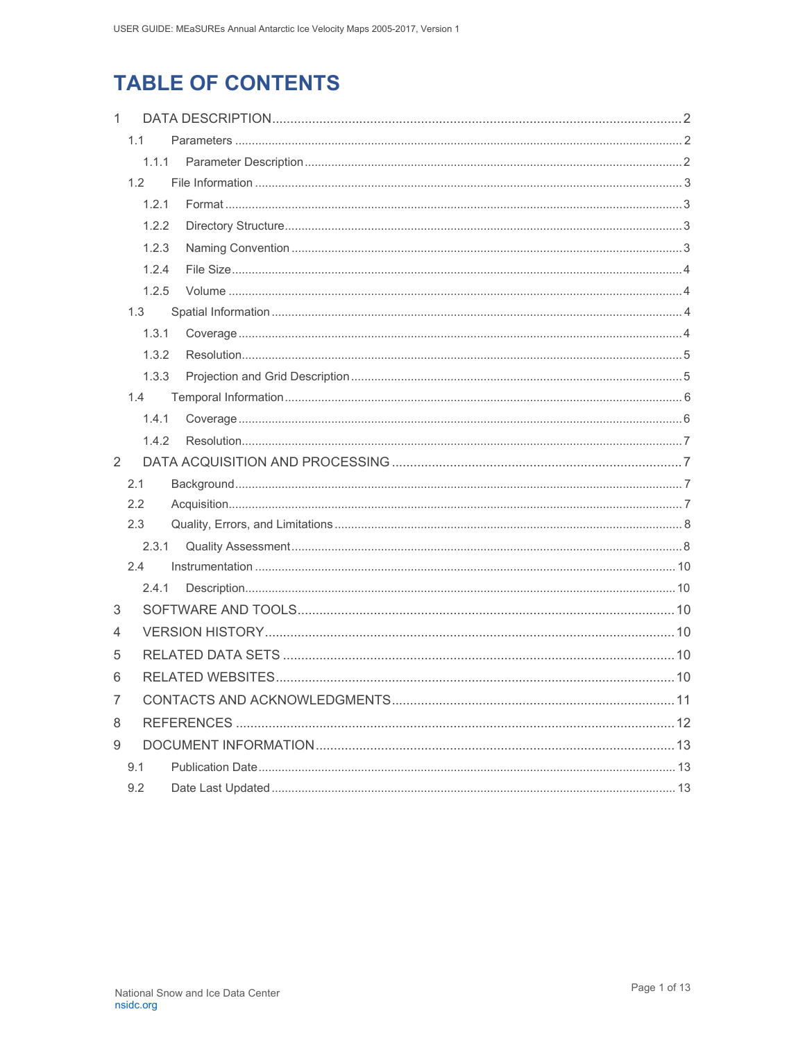## **TABLE OF CONTENTS**

| $\mathbf{1}$   |                  |  |
|----------------|------------------|--|
|                | 1.1              |  |
|                | 1.1.1            |  |
|                | 1.2 <sub>2</sub> |  |
|                | 1.2.1            |  |
|                | 1.2.2            |  |
|                | 1.2.3            |  |
|                | 1.2.4            |  |
|                | 1.2.5            |  |
|                | 1.3              |  |
|                | 1.3.1            |  |
|                | 1.3.2            |  |
|                | 1.3.3            |  |
|                | 1.4              |  |
|                | 1.4.1            |  |
|                | 1.4.2            |  |
| 2              |                  |  |
|                | 2.1              |  |
|                | 2.2              |  |
|                | 2.3              |  |
|                | 2.3.1            |  |
|                | 2.4              |  |
|                | 2.4.1            |  |
| 3              |                  |  |
| 4              |                  |  |
| 5              |                  |  |
| 6              |                  |  |
| $\overline{7}$ |                  |  |
| 8              |                  |  |
| 9              |                  |  |
|                | 9.1              |  |
|                | 9.2              |  |
|                |                  |  |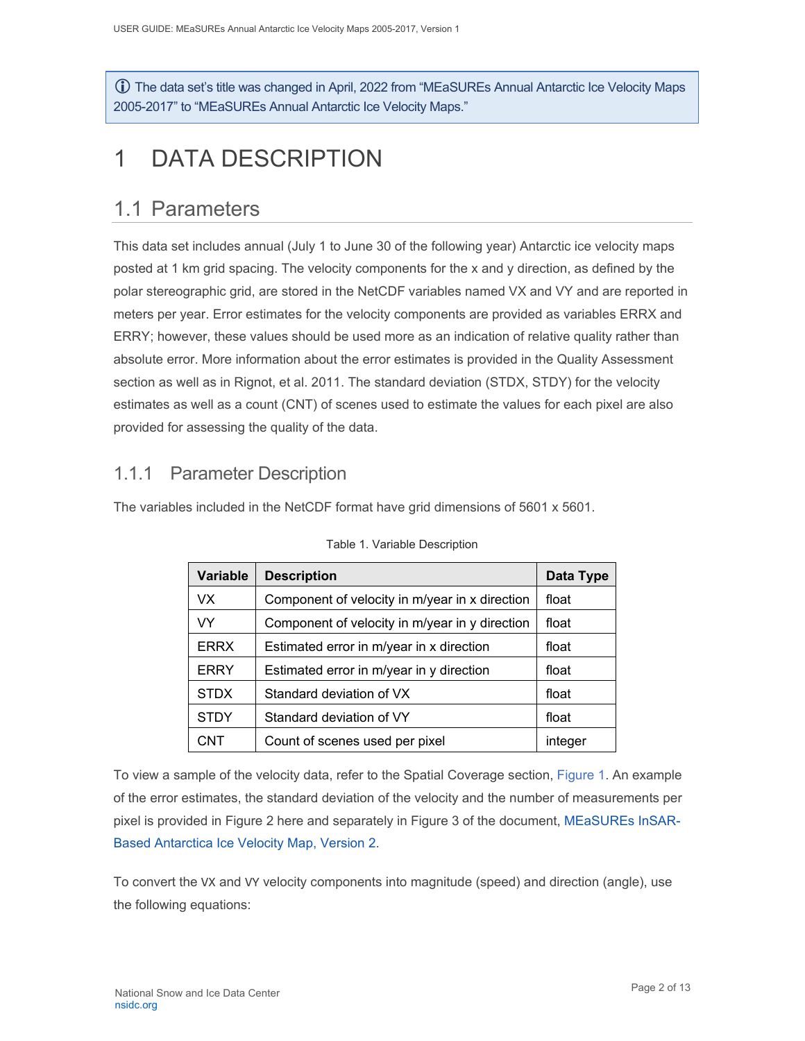The data set's title was changed in April, 2022 from "MEaSUREs Annual Antarctic Ice Velocity Maps 2005-2017" to "MEaSUREs Annual Antarctic Ice Velocity Maps."

# <span id="page-2-0"></span>1 DATA DESCRIPTION

### <span id="page-2-1"></span>1.1 Parameters

This data set includes annual (July 1 to June 30 of the following year) Antarctic ice velocity maps posted at 1 km grid spacing. The velocity components for the x and y direction, as defined by the polar stereographic grid, are stored in the NetCDF variables named VX and VY and are reported in meters per year. Error estimates for the velocity components are provided as variables ERRX and ERRY; however, these values should be used more as an indication of relative quality rather than absolute error. More information about the error estimates is provided in the Quality Assessment section as well as in Rignot, et al. 2011. The standard deviation (STDX, STDY) for the velocity estimates as well as a count (CNT) of scenes used to estimate the values for each pixel are also provided for assessing the quality of the data.

### <span id="page-2-2"></span>1.1.1 Parameter Description

The variables included in the NetCDF format have grid dimensions of 5601 x 5601.

| <b>Variable</b> | <b>Description</b>                             |         |  |
|-----------------|------------------------------------------------|---------|--|
| VX.             | Component of velocity in m/year in x direction | float   |  |
| <b>VY</b>       | Component of velocity in m/year in y direction | float   |  |
| <b>ERRX</b>     | Estimated error in m/year in x direction       | float   |  |
| <b>ERRY</b>     | Estimated error in m/year in y direction       | float   |  |
| <b>STDX</b>     | Standard deviation of VX                       | float   |  |
| <b>STDY</b>     | Standard deviation of VY                       | float   |  |
| CNT             | Count of scenes used per pixel                 | integer |  |

Table 1. Variable Description

To view a sample of the velocity data, refer to the Spatial Coverage section, [Figure 1.](#page-5-2) An example of the error estimates, the standard deviation of the velocity and the number of measurements per pixel is provided in [Figure 2](#page-9-0) here and separately in Figure 3 of the document, [MEaSUREs InSAR-](http://nsidc.org/data/nsidc-0484/versions/2/documentation)[Based Antarctica Ice Velocity Map, Version 2.](http://nsidc.org/data/nsidc-0484/versions/2/documentation)

To convert the VX and VY velocity components into magnitude (speed) and direction (angle), use the following equations: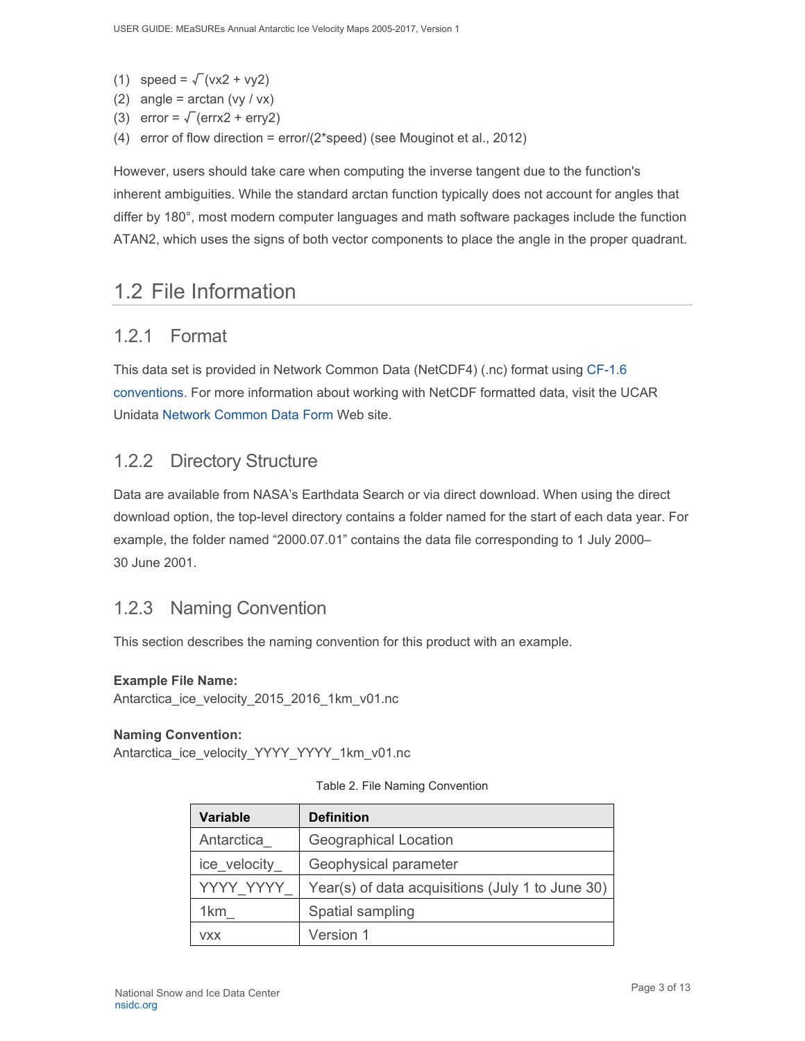- (1) speed =  $\sqrt{(vx2 + vy2)}$
- (2) angle =  $arctan (vy / vx)$
- (3) error =  $\sqrt{\text{}}$  (errx2 + erry2)
- (4) error of flow direction = error/(2\*speed) (see Mouginot et al., 2012)

However, users should take care when computing the inverse tangent due to the function's inherent ambiguities. While the standard arctan function typically does not account for angles that differ by 180°, most modern computer languages and math software packages include the function ATAN2, which uses the signs of both vector components to place the angle in the proper quadrant.

## <span id="page-3-0"></span>1.2 File Information

#### <span id="page-3-1"></span>1.2.1 Format

This data set is provided in Network Common Data (NetCDF4) (.nc) format using [CF-1.6](http://nsidc.org/sites/nsidc.org/files/files/data/golive/cf-conventions.pdf)  [conventions.](http://nsidc.org/sites/nsidc.org/files/files/data/golive/cf-conventions.pdf) For more information about working with NetCDF formatted data, visit the UCAR Unidata [Network Common Data Form](http://www.unidata.ucar.edu/software/netcdf/) Web site.

### <span id="page-3-2"></span>1.2.2 Directory Structure

Data are available from NASA's Earthdata Search or via direct download. When using the direct download option, the top-level directory contains a folder named for the start of each data year. For example, the folder named "2000.07.01" contains the data file corresponding to 1 July 2000– 30 June 2001.

### <span id="page-3-3"></span>1.2.3 Naming Convention

This section describes the naming convention for this product with an example.

#### **Example File Name:**

Antarctica ice velocity 2015 2016 1km v01.nc

#### **Naming Convention:**

Antarctica\_ice\_velocity\_YYYY\_YYYY\_1km\_v01.nc

|  |  | Table 2. File Naming Convention |  |
|--|--|---------------------------------|--|
|  |  |                                 |  |

| <b>Variable</b> | <b>Definition</b>                                |
|-----------------|--------------------------------------------------|
| Antarctica      | <b>Geographical Location</b>                     |
| ice velocity    | Geophysical parameter                            |
| YYYY YYYY       | Year(s) of data acquisitions (July 1 to June 30) |
| 1 <sub>km</sub> | Spatial sampling                                 |
| <b>VXX</b>      | Version 1                                        |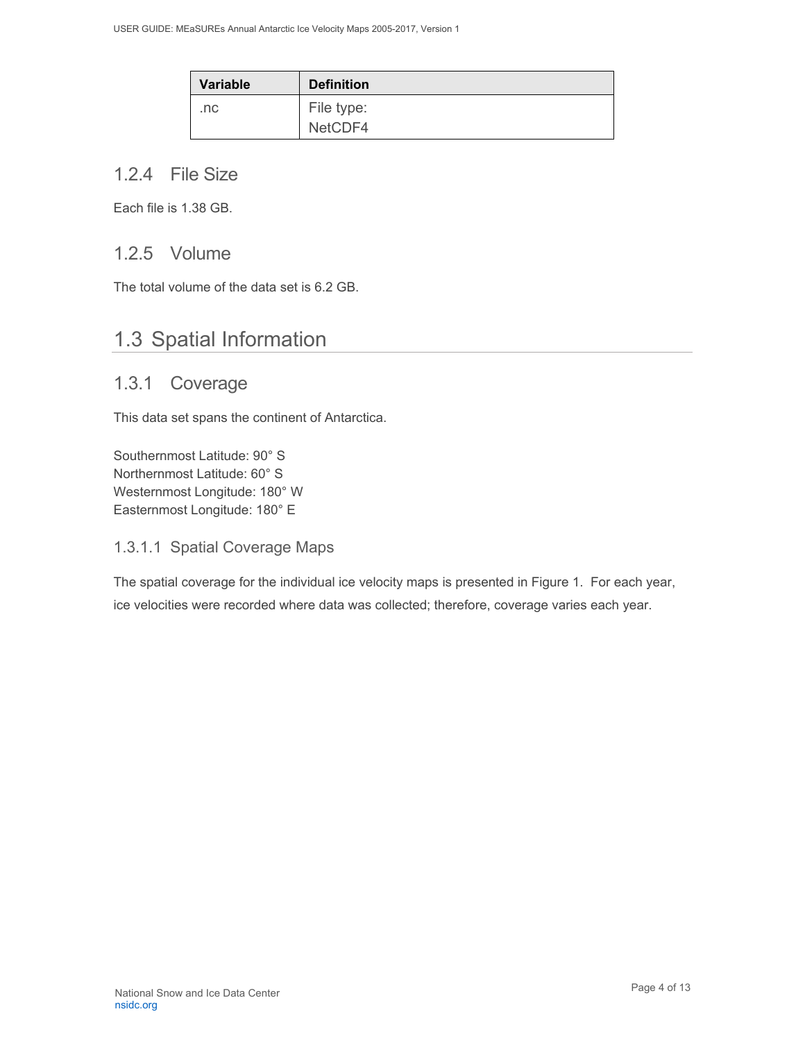| <b>Variable</b> | <b>Definition</b> |
|-----------------|-------------------|
| .nc             | File type:        |
|                 | NetCDF4           |

### <span id="page-4-0"></span>1.2.4 File Size

Each file is 1.38 GB.

### <span id="page-4-1"></span>1.2.5 Volume

The total volume of the data set is 6.2 GB.

## <span id="page-4-2"></span>1.3 Spatial Information

### <span id="page-4-3"></span>1.3.1 Coverage

This data set spans the continent of Antarctica.

Southernmost Latitude: 90° S Northernmost Latitude: 60° S Westernmost Longitude: 180° W Easternmost Longitude: 180° E

#### 1.3.1.1 Spatial Coverage Maps

The spatial coverage for the individual ice velocity maps is presented in Figure 1. For each year, ice velocities were recorded where data was collected; therefore, coverage varies each year.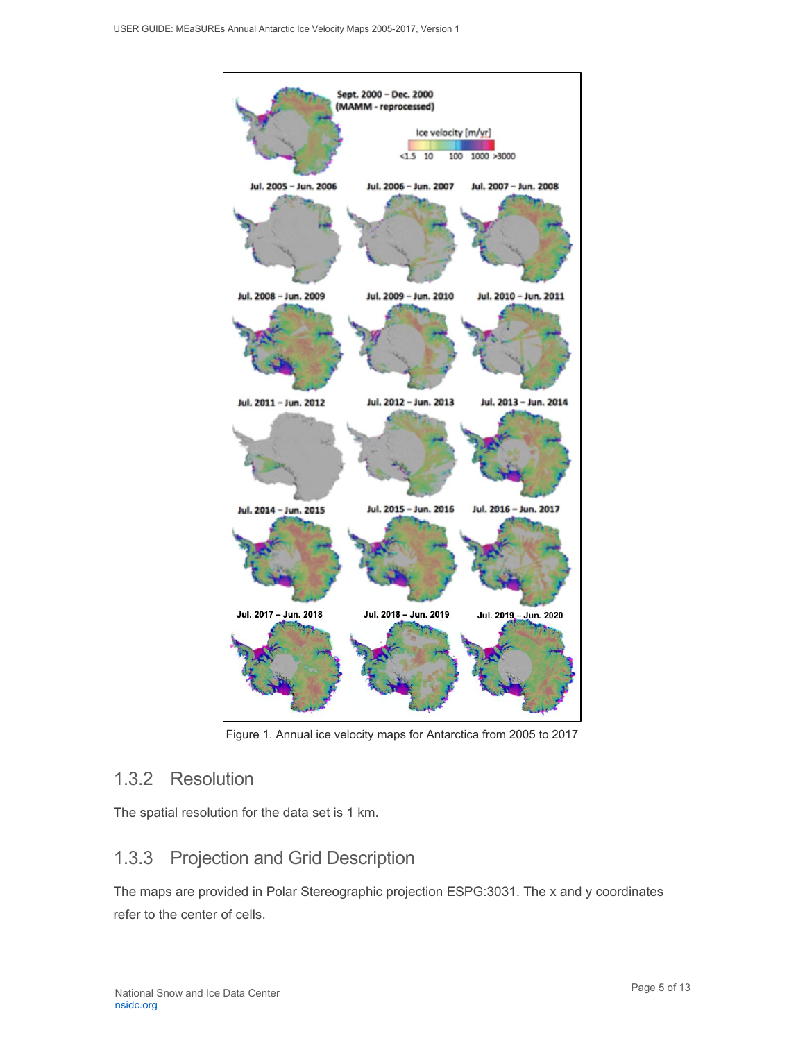

Figure 1. Annual ice velocity maps for Antarctica from 2005 to 2017

### <span id="page-5-2"></span><span id="page-5-0"></span>1.3.2 Resolution

The spatial resolution for the data set is 1 km.

### <span id="page-5-1"></span>1.3.3 Projection and Grid Description

The maps are provided in Polar Stereographic projection ESPG:3031. The x and y coordinates refer to the center of cells.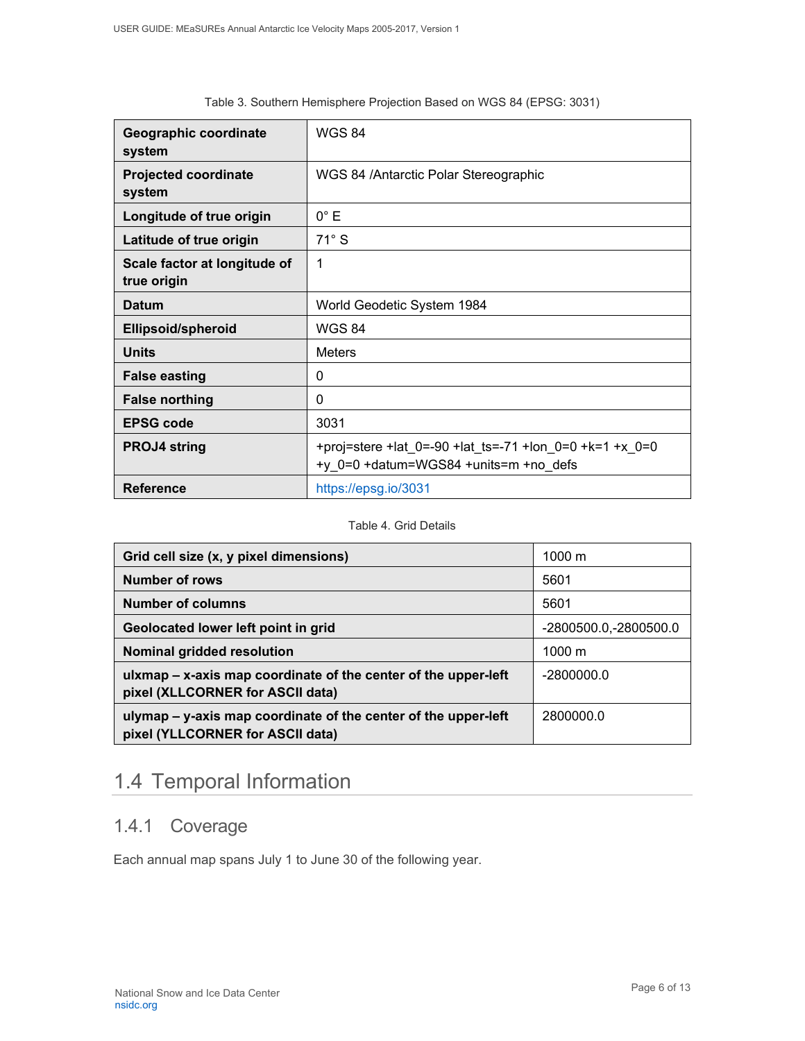| Geographic coordinate<br>system             | <b>WGS 84</b>                                                                                    |
|---------------------------------------------|--------------------------------------------------------------------------------------------------|
| <b>Projected coordinate</b><br>system       | WGS 84 / Antarctic Polar Stereographic                                                           |
| Longitude of true origin                    | $0^{\circ}$ E                                                                                    |
| Latitude of true origin                     | $71^\circ$ S                                                                                     |
| Scale factor at longitude of<br>true origin | 1                                                                                                |
| <b>Datum</b>                                | World Geodetic System 1984                                                                       |
| <b>Ellipsoid/spheroid</b>                   | <b>WGS 84</b>                                                                                    |
| <b>Units</b>                                | <b>Meters</b>                                                                                    |
| <b>False easting</b>                        | 0                                                                                                |
| <b>False northing</b>                       | $\Omega$                                                                                         |
| <b>EPSG code</b>                            | 3031                                                                                             |
| <b>PROJ4 string</b>                         | +proj=stere +lat 0=-90 +lat ts=-71 +lon 0=0 +k=1 +x 0=0<br>+y 0=0 +datum=WGS84 +units=m +no defs |
| <b>Reference</b>                            | https://epsg.io/3031                                                                             |

#### Table 3. Southern Hemisphere Projection Based on WGS 84 (EPSG: 3031)

#### Table 4. Grid Details

| Grid cell size (x, y pixel dimensions)                                                             | $1000 \; \text{m}$     |
|----------------------------------------------------------------------------------------------------|------------------------|
| Number of rows                                                                                     | 5601                   |
| <b>Number of columns</b>                                                                           | 5601                   |
| Geolocated lower left point in grid                                                                | -2800500.0, -2800500.0 |
| Nominal gridded resolution                                                                         | $1000 \text{ m}$       |
| ulxmap - x-axis map coordinate of the center of the upper-left<br>pixel (XLLCORNER for ASCII data) | $-2800000.0$           |
| ulymap – y-axis map coordinate of the center of the upper-left<br>pixel (YLLCORNER for ASCII data) | 2800000.0              |

## <span id="page-6-0"></span>1.4 Temporal Information

## <span id="page-6-1"></span>1.4.1 Coverage

Each annual map spans July 1 to June 30 of the following year.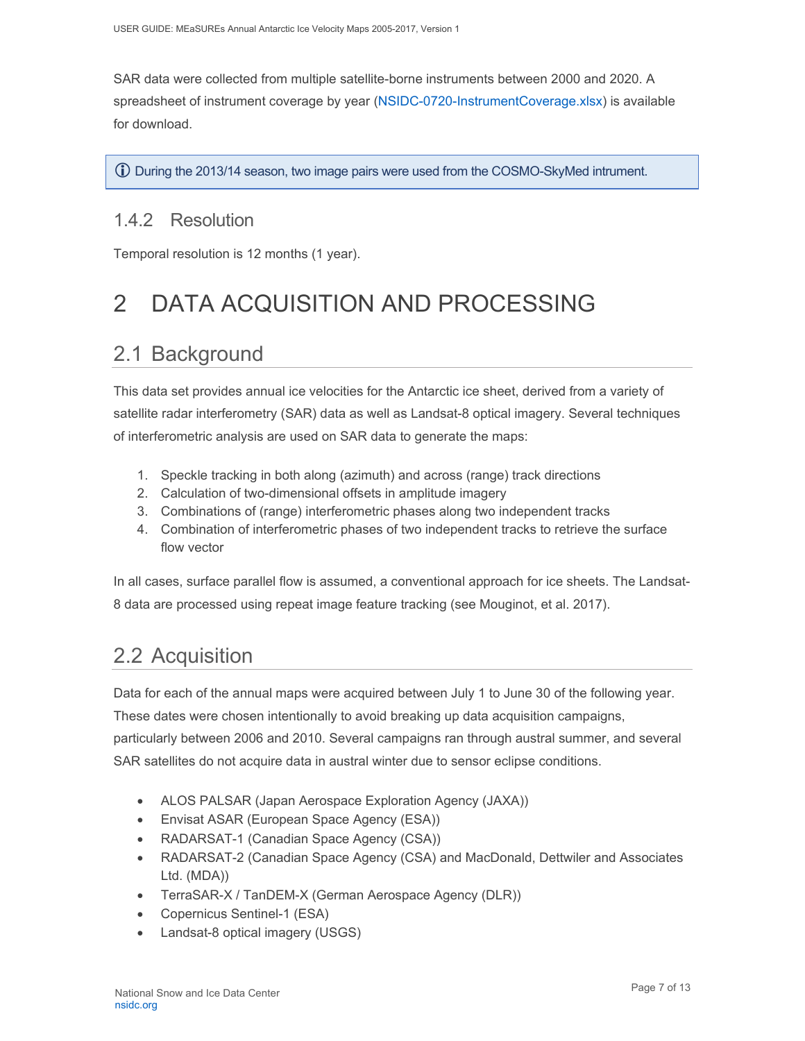SAR data were collected from multiple satellite-borne instruments between 2000 and 2020. A spreadsheet of instrument coverage by year [\(NSIDC-0720-InstrumentCoverage.xlsx\)](https://nsidc.org/sites/nsidc.org/files/technical-references/NSIDC-0720-InstrumentCoverage.xlsx) is available for download.

**(i)** During the 2013/14 season, two image pairs were used from the COSMO-SkyMed intrument.

### <span id="page-7-0"></span>1.4.2 Resolution

Temporal resolution is 12 months (1 year).

# <span id="page-7-1"></span>2 DATA ACQUISITION AND PROCESSING

## <span id="page-7-2"></span>2.1 Background

This data set provides annual ice velocities for the Antarctic ice sheet, derived from a variety of satellite radar interferometry (SAR) data as well as Landsat-8 optical imagery. Several techniques of interferometric analysis are used on SAR data to generate the maps:

- 1. Speckle tracking in both along (azimuth) and across (range) track directions
- 2. Calculation of two-dimensional offsets in amplitude imagery
- 3. Combinations of (range) interferometric phases along two independent tracks
- 4. Combination of interferometric phases of two independent tracks to retrieve the surface flow vector

In all cases, surface parallel flow is assumed, a conventional approach for ice sheets. The Landsat-8 data are processed using repeat image feature tracking (see Mouginot, et al. 2017).

## <span id="page-7-3"></span>2.2 Acquisition

Data for each of the annual maps were acquired between July 1 to June 30 of the following year. These dates were chosen intentionally to avoid breaking up data acquisition campaigns, particularly between 2006 and 2010. Several campaigns ran through austral summer, and several SAR satellites do not acquire data in austral winter due to sensor eclipse conditions.

- ALOS PALSAR (Japan Aerospace Exploration Agency (JAXA))
- Envisat ASAR (European Space Agency (ESA))
- RADARSAT-1 (Canadian Space Agency (CSA))
- RADARSAT-2 (Canadian Space Agency (CSA) and MacDonald, Dettwiler and Associates Ltd. (MDA))
- TerraSAR-X / TanDEM-X (German Aerospace Agency (DLR))
- Copernicus Sentinel-1 (ESA)
- Landsat-8 optical imagery (USGS)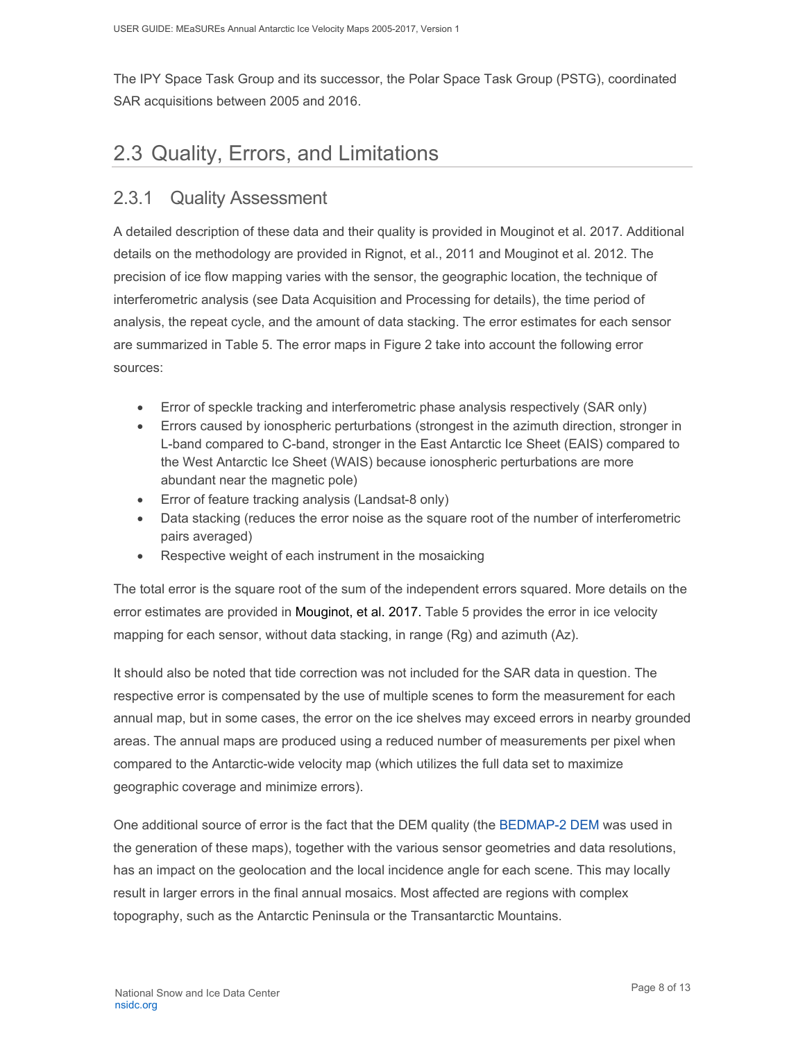The IPY Space Task Group and its successor, the Polar Space Task Group (PSTG), coordinated SAR acquisitions between 2005 and 2016.

## <span id="page-8-0"></span>2.3 Quality, Errors, and Limitations

### <span id="page-8-1"></span>2.3.1 Quality Assessment

A detailed description of these data and their quality is provided in Mouginot et al. 2017. Additional details on the methodology are provided in Rignot, et al., 2011 and Mouginot et al. 2012. The precision of ice flow mapping varies with the sensor, the geographic location, the technique of interferometric analysis (see Data Acquisition and Processing for details), the time period of analysis, the repeat cycle, and the amount of data stacking. The error estimates for each sensor are summarized in Table 5. The error maps in Figure 2 take into account the following error sources:

- Error of speckle tracking and interferometric phase analysis respectively (SAR only)
- Errors caused by ionospheric perturbations (strongest in the azimuth direction, stronger in L-band compared to C-band, stronger in the East Antarctic Ice Sheet (EAIS) compared to the West Antarctic Ice Sheet (WAIS) because ionospheric perturbations are more abundant near the magnetic pole)
- Error of feature tracking analysis (Landsat-8 only)
- Data stacking (reduces the error noise as the square root of the number of interferometric pairs averaged)
- Respective weight of each instrument in the mosaicking

The total error is the square root of the sum of the independent errors squared. More details on the error estimates are provided in Mouginot, et al. 2017. Table 5 provides the error in ice velocity mapping for each sensor, without data stacking, in range (Rg) and azimuth (Az).

It should also be noted that tide correction was not included for the SAR data in question. The respective error is compensated by the use of multiple scenes to form the measurement for each annual map, but in some cases, the error on the ice shelves may exceed errors in nearby grounded areas. The annual maps are produced using a reduced number of measurements per pixel when compared to the Antarctic-wide velocity map (which utilizes the full data set to maximize geographic coverage and minimize errors).

One additional source of error is the fact that the DEM quality (the [BEDMAP-2 DEM](https://www.bas.ac.uk/project/bedmap-2/) was used in the generation of these maps), together with the various sensor geometries and data resolutions, has an impact on the geolocation and the local incidence angle for each scene. This may locally result in larger errors in the final annual mosaics. Most affected are regions with complex topography, such as the Antarctic Peninsula or the Transantarctic Mountains.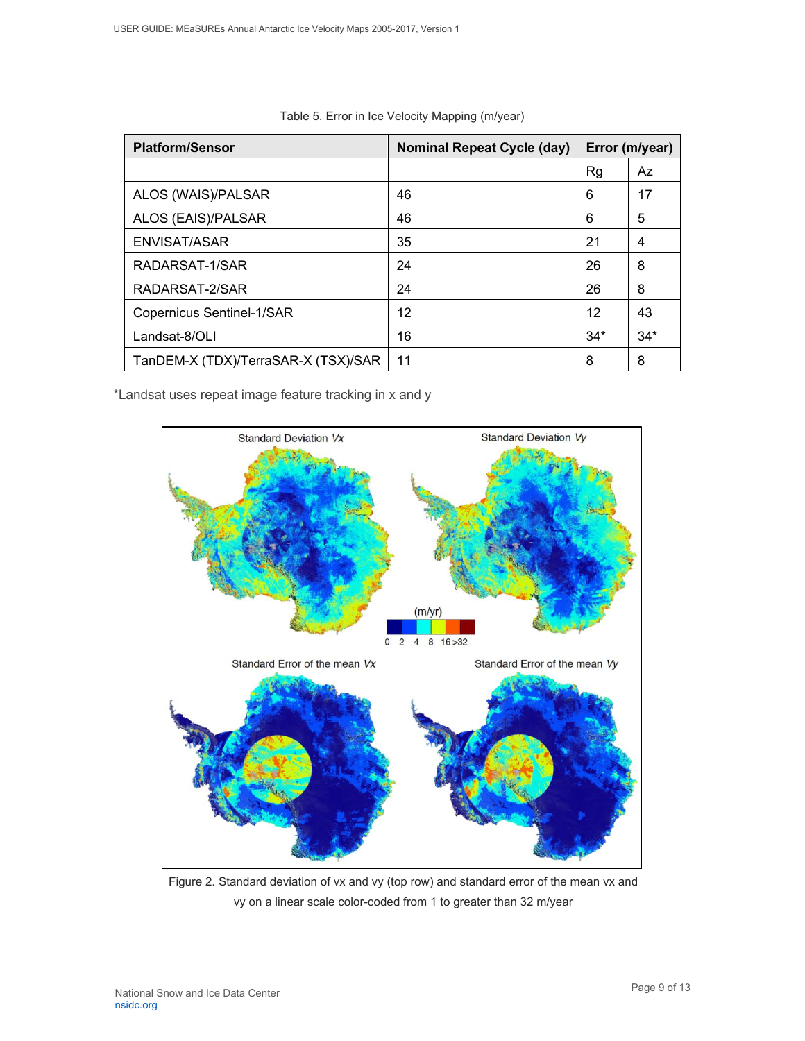| <b>Platform/Sensor</b>              | <b>Nominal Repeat Cycle (day)</b> | Error (m/year) |       |
|-------------------------------------|-----------------------------------|----------------|-------|
|                                     |                                   | Rg             | Az    |
| ALOS (WAIS)/PALSAR                  | 46                                | 6              | 17    |
| ALOS (EAIS)/PALSAR                  | 46                                | 6              | 5     |
| ENVISAT/ASAR                        | 35                                | 21             | 4     |
| RADARSAT-1/SAR                      | 24                                | 26             | 8     |
| RADARSAT-2/SAR                      | 24                                | 26             | 8     |
| <b>Copernicus Sentinel-1/SAR</b>    | 12                                | 12             | 43    |
| Landsat-8/OLI                       | 16                                | $34*$          | $34*$ |
| TanDEM-X (TDX)/TerraSAR-X (TSX)/SAR | 11                                | 8              | 8     |

|  |  | Table 5. Error in Ice Velocity Mapping (m/year) |  |
|--|--|-------------------------------------------------|--|
|  |  |                                                 |  |

\*Landsat uses repeat image feature tracking in x and y



<span id="page-9-0"></span>Figure 2. Standard deviation of vx and vy (top row) and standard error of the mean vx and vy on a linear scale color-coded from 1 to greater than 32 m/year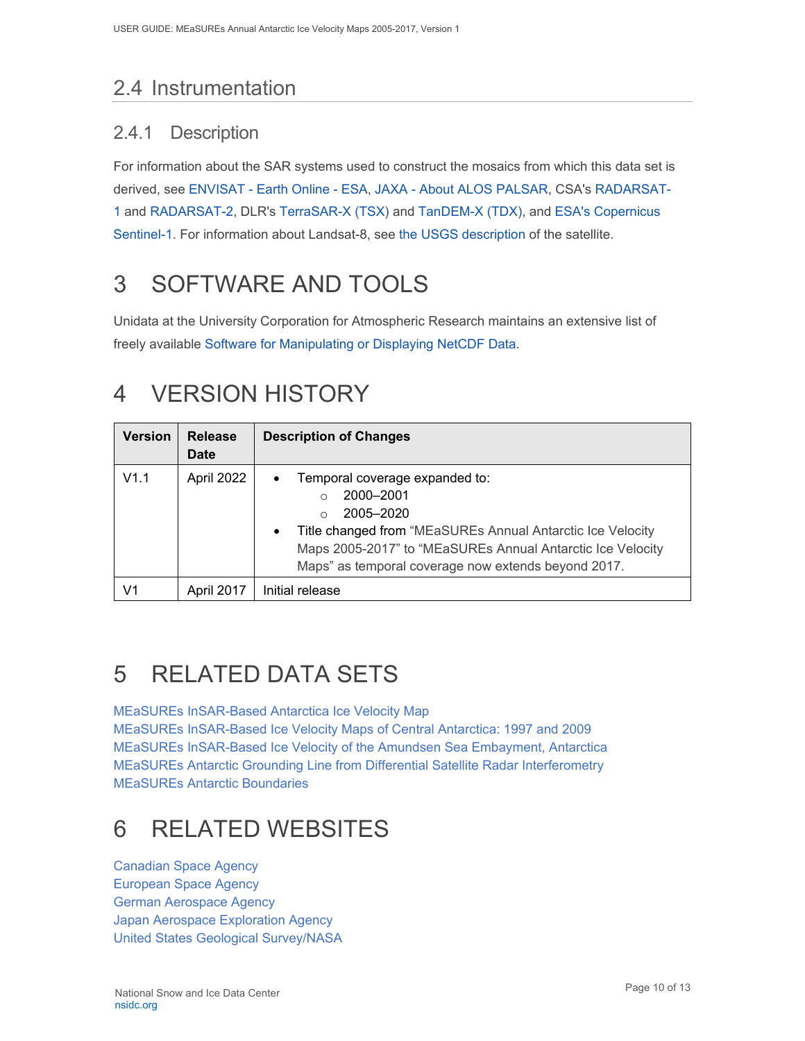## <span id="page-10-0"></span>2.4 Instrumentation

### <span id="page-10-1"></span>2.4.1 Description

For information about the SAR systems used to construct the mosaics from which this data set is derived, see ENVISAT - [Earth Online -](https://earth.esa.int/web/guest/missions/esa-operational-eo-missions/envisat) ESA, JAXA - [About ALOS PALSAR,](http://www.eorc.jaxa.jp/ALOS/en/about/palsar.htm) CSA's [RADARSAT-](http://www.asc-csa.gc.ca/eng/satellites/radarsat1/default.asp)[1](http://www.asc-csa.gc.ca/eng/satellites/radarsat1/default.asp) and [RADARSAT-2,](http://www.asc-csa.gc.ca/eng/satellites/radarsat2/) DLR's [TerraSAR-X \(TSX\)](https://www.dlr.de/eoc/en/desktopdefault.aspx/tabid-5510/9226_read-17763/) and [TanDEM-X \(TDX\),](https://www.dlr.de/eoc/en/desktopdefault.aspx/tabid-5511/9218_read-17741/) and [ESA's Copernicus](https://earth.esa.int/web/guest/missions/esa-operational-eo-missions/sentinel-1)  [Sentinel-1.](https://earth.esa.int/web/guest/missions/esa-operational-eo-missions/sentinel-1) For information about Landsat-8, see [the USGS description](https://www.usgs.gov/core-science-systems/nli/landsat/landsat-8) of the satellite.

# <span id="page-10-2"></span>3 SOFTWARE AND TOOLS

Unidata at the University Corporation for Atmospheric Research maintains an extensive list of freely available [Software for Manipulating or Displaying NetCDF Data.](http://www.unidata.ucar.edu/software/netcdf/software.html)

# <span id="page-10-3"></span>4 VERSION HISTORY

| <b>Version</b> | <b>Release</b><br><b>Date</b> | <b>Description of Changes</b>                                                                                                                                                                                                                                                               |  |
|----------------|-------------------------------|---------------------------------------------------------------------------------------------------------------------------------------------------------------------------------------------------------------------------------------------------------------------------------------------|--|
| V1.1           | April 2022                    | Temporal coverage expanded to:<br>$\bullet$<br>2000-2001<br>$\Omega$<br>2005-2020<br>$\cap$<br>Title changed from "MEaSUREs Annual Antarctic Ice Velocity<br>$\bullet$<br>Maps 2005-2017" to "MEaSUREs Annual Antarctic Ice Velocity<br>Maps" as temporal coverage now extends beyond 2017. |  |
| V1             | April 2017                    | Initial release                                                                                                                                                                                                                                                                             |  |

# <span id="page-10-4"></span>5 RELATED DATA SETS

[MEaSUREs InSAR-Based Antarctica Ice Velocity Map](http://nsidc.org/data/nsidc-0484.html) [MEaSUREs InSAR-Based Ice Velocity Maps of Central Antarctica: 1997 and 2009](http://nsidc.org/data/nsidc-0525.html) [MEaSUREs InSAR-Based Ice Velocity of the Amundsen Sea Embayment, Antarctica](http://nsidc.org/data/nsidc-0525.html) [MEaSUREs Antarctic Grounding Line from Differential Satellite Radar Interferometry](http://nsidc.org/data/nsidc-0498.html) [MEaSUREs Antarctic Boundaries](http://nsidc.org/data/nsidc-0525.html)

# <span id="page-10-5"></span>6 RELATED WEBSITES

[Canadian Space Agency](http://www.asc-csa.gc.ca/eng/satellites/radarsat2/) [European Space Agency](https://earth.esa.int/web/guest/missions/esa-operational-eo-missions/envisat) [German Aerospace Agency](http://www.dlr.de/dlr/en/desktopdefault.aspx/tabid-10376/) [Japan Aerospace Exploration Agency](http://www.eorc.jaxa.jp/ALOS/en/about/palsar.htm) [United States Geological Survey/NASA](https://www.usgs.gov/land-resources/nli/landsat/landsat-8)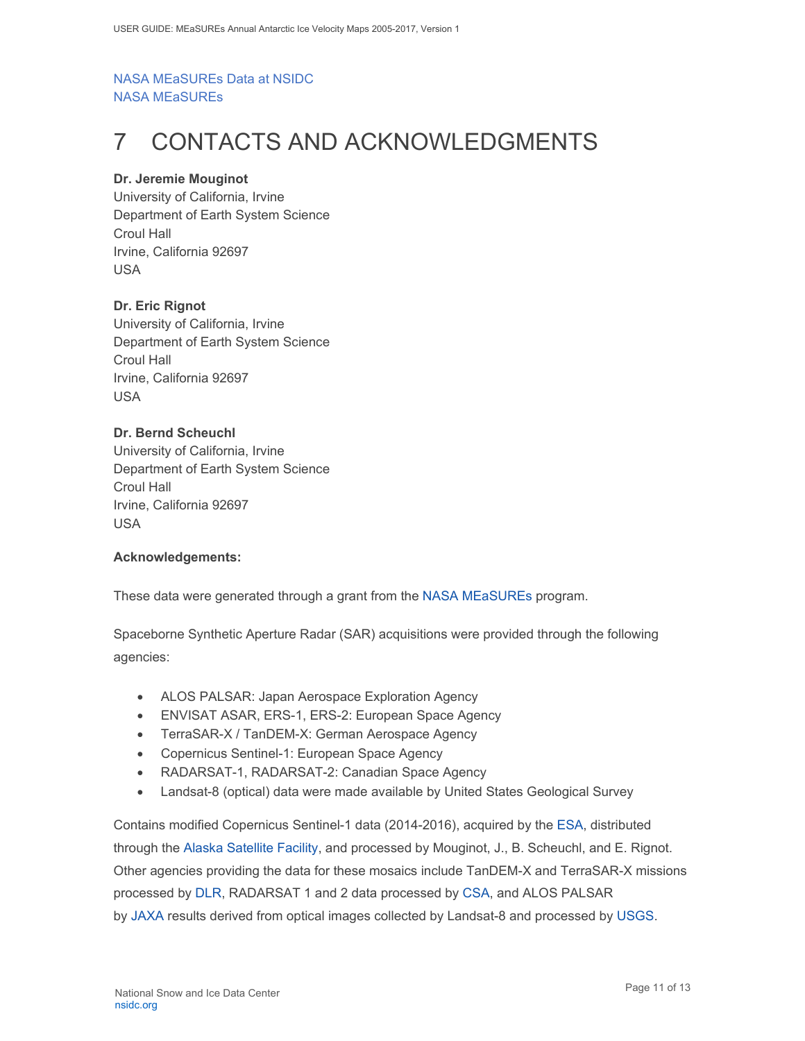#### [NASA MEaSUREs Data at NSIDC](http://nsidc.org/data/measures/index.html) [NASA MEaSUREs](http://earthdata.nasa.gov/our-community/community-data-system-programs/measures-projects)

# <span id="page-11-0"></span>7 CONTACTS AND ACKNOWLEDGMENTS

#### **Dr. Jeremie Mouginot**

University of California, Irvine Department of Earth System Science Croul Hall Irvine, California 92697 USA

#### **Dr. Eric Rignot**

University of California, Irvine Department of Earth System Science Croul Hall Irvine, California 92697 USA

#### **Dr. Bernd Scheuchl**

University of California, Irvine Department of Earth System Science Croul Hall Irvine, California 92697 USA

#### **Acknowledgements:**

These data were generated through a grant from the [NASA MEaSUREs](http://earthdata.nasa.gov/our-community/community-data-system-programs/measures-projects) program.

Spaceborne Synthetic Aperture Radar (SAR) acquisitions were provided through the following agencies:

- ALOS PALSAR: Japan Aerospace Exploration Agency
- ENVISAT ASAR, ERS-1, ERS-2: European Space Agency
- TerraSAR-X / TanDEM-X: German Aerospace Agency
- Copernicus Sentinel-1: European Space Agency
- RADARSAT-1, RADARSAT-2: Canadian Space Agency
- Landsat-8 (optical) data were made available by United States Geological Survey

Contains modified Copernicus Sentinel-1 data (2014-2016), acquired by the [ESA,](http://www.esa.int/ESA) distributed through the [Alaska Satellite Facility,](https://www.asf.alaska.edu/) and processed by Mouginot, J., B. Scheuchl, and E. Rignot. Other agencies providing the data for these mosaics include TanDEM-X and TerraSAR-X missions processed by [DLR,](http://www.dlr.de/dlr/en/desktopdefault.aspx/tabid-10002/) RADARSAT 1 and 2 data processed by [CSA,](http://www.asc-csa.gc.ca/eng/satellites) and ALOS PALSAR by [JAXA](http://www.eorc.jaxa.jp/ALOS/en/about/palsar.htm) results derived from optical images collected by Landsat-8 and processed by [USGS.](https://www.usgs.gov/)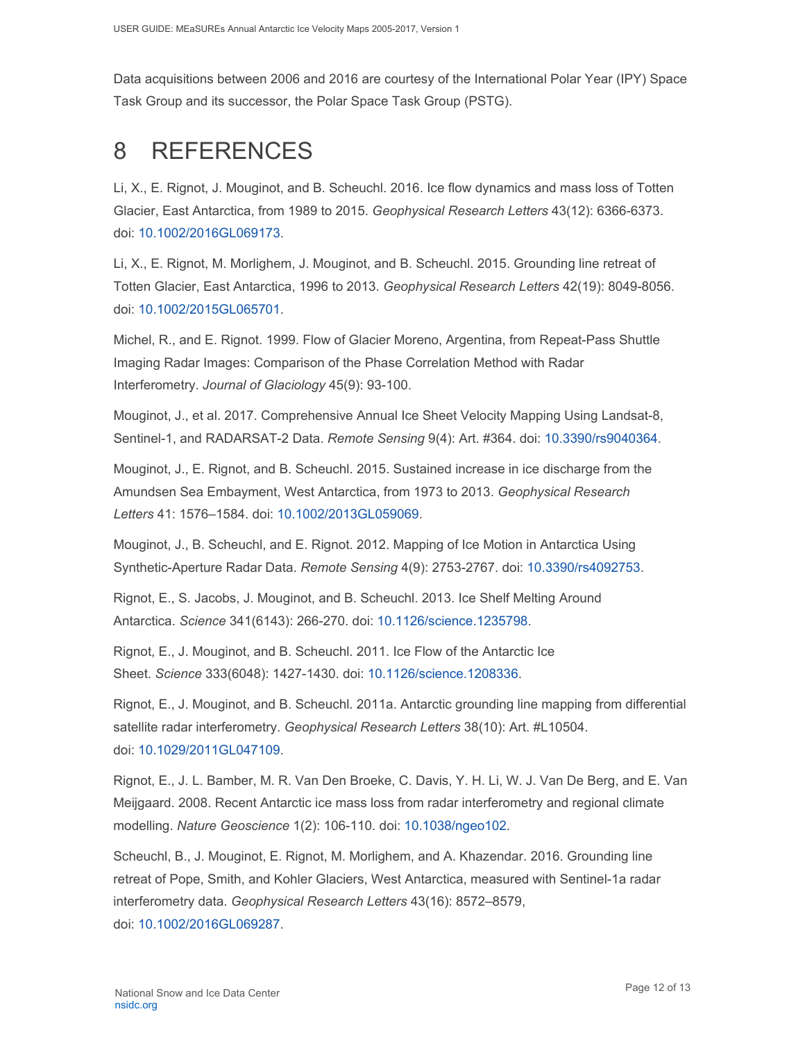Data acquisitions between 2006 and 2016 are courtesy of the International Polar Year (IPY) Space Task Group and its successor, the Polar Space Task Group (PSTG).

# <span id="page-12-0"></span>8 REFERENCES

Li, X., E. Rignot, J. Mouginot, and B. Scheuchl. 2016. Ice flow dynamics and mass loss of Totten Glacier, East Antarctica, from 1989 to 2015. *Geophysical Research Letters* 43(12): 6366-6373. doi: [10.1002/2016GL069173.](http://dx.doi.org/10.1002/2016GL069173)

Li, X., E. Rignot, M. Morlighem, J. Mouginot, and B. Scheuchl. 2015. Grounding line retreat of Totten Glacier, East Antarctica, 1996 to 2013. *Geophysical Research Letters* 42(19): 8049-8056. doi: [10.1002/2015GL065701.](http://dx.doi.org/10.1002/2015GL065701)

Michel, R., and E. Rignot. 1999. Flow of Glacier Moreno, Argentina, from Repeat-Pass Shuttle Imaging Radar Images: Comparison of the Phase Correlation Method with Radar Interferometry. *Journal of Glaciology* 45(9): 93-100.

Mouginot, J., et al. 2017. Comprehensive Annual Ice Sheet Velocity Mapping Using Landsat-8, Sentinel-1, and RADARSAT-2 Data. *Remote Sensing* 9(4): Art. #364. doi: [10.3390/rs9040364.](http://dx.doi.org/10.3390/rs9040364)

Mouginot, J., E. Rignot, and B. Scheuchl. 2015. Sustained increase in ice discharge from the Amundsen Sea Embayment, West Antarctica, from 1973 to 2013. *Geophysical Research Letters* 41: 1576–1584. doi: [10.1002/2013GL059069.](http://dx.doi.org/10.1002/2013GL059069)

Mouginot, J., B. Scheuchl, and E. Rignot. 2012. Mapping of Ice Motion in Antarctica Using Synthetic-Aperture Radar Data. *Remote Sensing* 4(9): 2753-2767. doi: [10.3390/rs4092753.](http://dx.doi.org/10.3390/rs4092753)

Rignot, E., S. Jacobs, J. Mouginot, and B. Scheuchl. 2013. Ice Shelf Melting Around Antarctica. *Science* 341(6143): 266-270. doi: [10.1126/science.1235798.](http://dx.doi.org/10.1126/science.1235798)

Rignot, E., J. Mouginot, and B. Scheuchl. 2011. Ice Flow of the Antarctic Ice Sheet. *Science* 333(6048): 1427-1430. doi: [10.1126/science.1208336.](http://dx.doi.org/10.1126/science.1208336)

Rignot, E., J. Mouginot, and B. Scheuchl. 2011a. Antarctic grounding line mapping from differential satellite radar interferometry. *Geophysical Research Letters* 38(10): Art. #L10504. doi: [10.1029/2011GL047109.](http://dx.doi.org/10.1029/2011GL047109)

Rignot, E., J. L. Bamber, M. R. Van Den Broeke, C. Davis, Y. H. Li, W. J. Van De Berg, and E. Van Meijgaard. 2008. Recent Antarctic ice mass loss from radar interferometry and regional climate modelling. *Nature Geoscience* 1(2): 106-110. doi: [10.1038/ngeo102.](http://dx.doi.org/10.1038/ngeo102)

Scheuchl, B., J. Mouginot, E. Rignot, M. Morlighem, and A. Khazendar. 2016. Grounding line retreat of Pope, Smith, and Kohler Glaciers, West Antarctica, measured with Sentinel-1a radar interferometry data. *Geophysical Research Letters* 43(16): 8572–8579, doi: [10.1002/2016GL069287.](http://dx.doi.org/10.1002/2016GL069287)